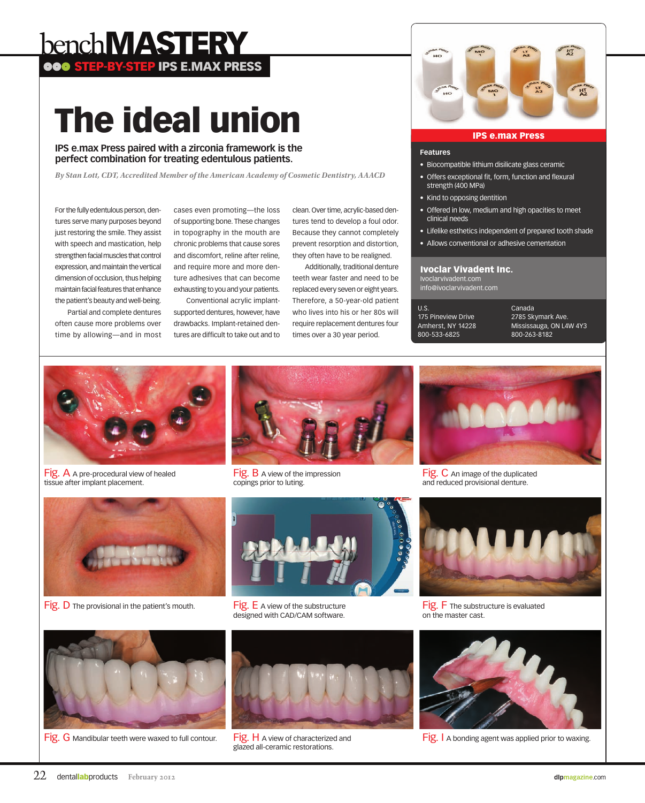# bench MASTERY ooo STEP-BY-STEP IPS E.MAX PRESS

The ideal union

**IPS e.max Press paired with a zirconia framework is the perfect combination for treating edentulous patients.**

*By Stan Lott, CDT, Accredited Member of the American Academy of Cosmetic Dentistry, AAACD*

For the fully edentulous person, dentures serve many purposes beyond just restoring the smile. They assist with speech and mastication, help strengthen facial muscles that control expression, and maintain the vertical dimension of occlusion, thus helping maintain facial features that enhance the patient's beauty and well-being.

Partial and complete dentures often cause more problems over time by allowing—and in most

cases even promoting—the loss of supporting bone. These changes in topography in the mouth are chronic problems that cause sores and discomfort, reline after reline, and require more and more denture adhesives that can become exhausting to you and your patients.

Conventional acrylic implantsupported dentures, however, have drawbacks. Implant-retained dentures are difficult to take out and to

clean. Over time, acrylic-based dentures tend to develop a foul odor. Because they cannot completely prevent resorption and distortion, they often have to be realigned.

Additionally, traditional denture teeth wear faster and need to be replaced every seven or eight years. Therefore, a 50-year-old patient who lives into his or her 80s will require replacement dentures four times over a 30 year period.



## IPS e.max Press

#### **Features**

- • Biocompatible lithium disilicate glass ceramic
- Offers exceptional fit, form, function and flexural strength (400 MPa)
- Kind to opposing dentition
- Offered in low, medium and high opacities to meet clinical needs
- Lifelike esthetics independent of prepared tooth shade
- Allows conventional or adhesive cementation

#### Ivoclar Vivadent Inc.

Ivoclarvivadent.com info@ivoclarvivadent.com

U.S. 175 Pineview Drive Amherst, NY 14228 800-533-6825

Canada 2785 Skymark Ave. Mississauga, ON L4W 4Y3 800-263-8182



Fig. A A pre-procedural view of healed tissue after implant placement.



Fig. B A view of the impression copings prior to luting.



Fig. C An image of the duplicated and reduced provisional denture.



Fig. D The provisional in the patient's mouth. Fig. E A view of the substructure



designed with CAD/CAM software.



Fig. F The substructure is evaluated on the master cast.



Fig. G Mandibular teeth were waxed to full contour. Fig. H A view of characterized and



glazed all-ceramic restorations.



Fig. I A bonding agent was applied prior to waxing.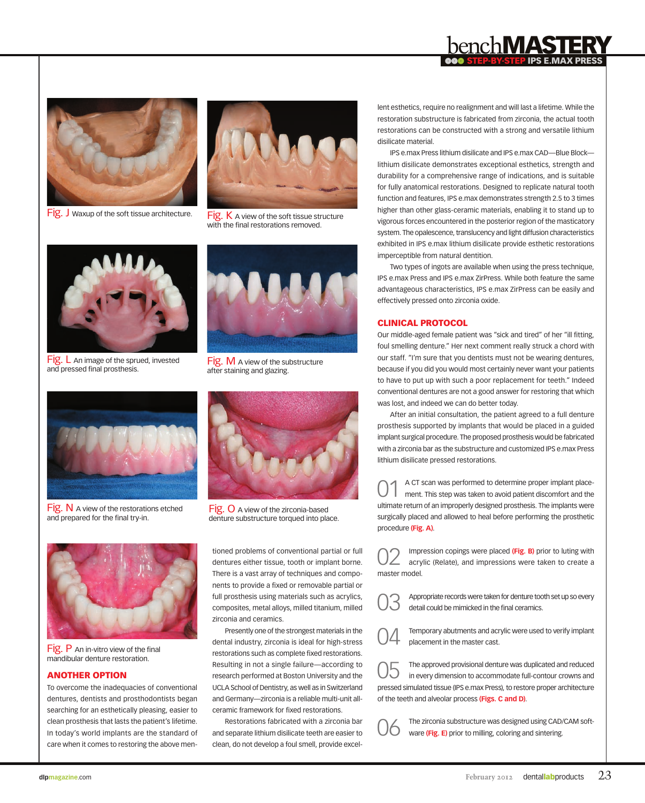

Two types of ingots are available when using the press technique, IPS e.max Press and IPS e.max ZirPress. While both feature the same advantageous characteristics, IPS e.max ZirPress can be easily and effectively pressed onto zirconia oxide.

lent esthetics, require no realignment and will last a lifetime. While the restoration substructure is fabricated from zirconia, the actual tooth restorations can be constructed with a strong and versatile lithium

IPS e.max Press lithium disilicate and IPS e.max CAD—Blue Block lithium disilicate demonstrates exceptional esthetics, strength and durability for a comprehensive range of indications, and is suitable for fully anatomical restorations. Designed to replicate natural tooth function and features, IPS e.max demonstrates strength 2.5 to 3 times higher than other glass-ceramic materials, enabling it to stand up to

## **CLINICAL PROTOCOL**

disilicate material.

Our middle-aged female patient was "sick and tired" of her "ill fitting, foul smelling denture." Her next comment really struck a chord with our staff. "I'm sure that you dentists must not be wearing dentures, because if you did you would most certainly never want your patients to have to put up with such a poor replacement for teeth." Indeed conventional dentures are not a good answer for restoring that which was lost, and indeed we can do better today.

After an initial consultation, the patient agreed to a full denture prosthesis supported by implants that would be placed in a guided implant surgical procedure. The proposed prosthesis would be fabricated with a zirconia bar as the substructure and customized IPS e.max Press lithium disilicate pressed restorations.

01 A CT scan was performed to determine proper implant place-ment. This step was taken to avoid patient discomfort and the ultimate return of an improperly designed prosthesis. The implants were surgically placed and allowed to heal before performing the prosthetic procedure **(Fig. A)**.

**02** Impression copings were placed (Fig. B) prior to luting with acrylic (Relate), and impressions were taken to create a

Appropriate records were taken for denture tooth set up so every detail could be mimicked in the final ceramics.

Temporary abutments and acrylic were used to verify implant placement in the master cast.

O5 The approved provisional denture was duplicated and reduced in every dimension to accommodate full-contour crowns and pressed simulated tissue (IPS e.max Press), to restore proper architecture of the teeth and alveolar process **(Figs. C and D)**.

> The zirconia substructure was designed using CAD/CAM software **(Fig. E)** prior to milling, coloring and sintering.

FIG. L An image of the sprued, invested and pressed final prosthesis.

 $Fig. N$  A view of the restorations etched and prepared for the final try-in.

Fig. P An in-vitro view of the final mandibular denture restoration.

## Another option

To overcome the inadequacies of conventional dentures, dentists and prosthodontists began searching for an esthetically pleasing, easier to clean prosthesis that lasts the patient's lifetime. In today's world implants are the standard of care when it comes to restoring the above men-

Fig. O A view of the zirconia-based denture substructure torqued into place.

tioned problems of conventional partial or full dentures either tissue, tooth or implant borne. There is a vast array of techniques and components to provide a fixed or removable partial or full prosthesis using materials such as acrylics, composites, metal alloys, milled titanium, milled zirconia and ceramics.

Presently one of the strongest materials in the dental industry, zirconia is ideal for high-stress restorations such as complete fixed restorations. Resulting in not a single failure—according to research performed at Boston University and the UCLA School of Dentistry, as well as in Switzerland and Germany—zirconia is a reliable multi-unit allceramic framework for fixed restorations.

Restorations fabricated with a zirconia bar and separate lithium disilicate teeth are easier to clean, do not develop a foul smell, provide excel-













after staining and glazing.